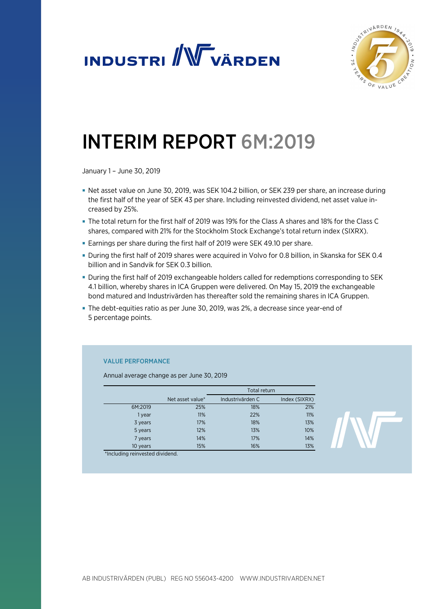



# INTERIM REPORT 6M:2019

January 1 – June 30, 2019

- Net asset value on June 30, 2019, was SEK 104.2 billion, or SEK 239 per share, an increase during the first half of the year of SEK 43 per share. Including reinvested dividend, net asset value increased by 25%.
- The total return for the first half of 2019 was 19% for the Class A shares and 18% for the Class C shares, compared with 21% for the Stockholm Stock Exchange's total return index (SIXRX).
- Earnings per share during the first half of 2019 were SEK 49.10 per share.
- During the first half of 2019 shares were acquired in Volvo for 0.8 billion, in Skanska for SEK 0.4 billion and in Sandvik for SEK 0.3 billion.
- During the first half of 2019 exchangeable holders called for redemptions corresponding to SEK 4.1 billion, whereby shares in ICA Gruppen were delivered. On May 15, 2019 the exchangeable bond matured and Industrivärden has thereafter sold the remaining shares in ICA Gruppen.
- The debt-equities ratio as per June 30, 2019, was 2%, a decrease since year-end of 5 percentage points.

### VALUE PERFORMANCE

Annual average change as per June 30, 2019

|          |                  | Total return     |               |  |
|----------|------------------|------------------|---------------|--|
|          | Net asset value* | Industrivärden C | Index (SIXRX) |  |
| 6M:2019  | 25%              | 18%              | 21%           |  |
| 1 year   | 11%              | 22%              | 11%           |  |
| 3 years  | 17%              | 18%              | 13%           |  |
| 5 years  | 12%              | 13%              | 10%           |  |
| 7 years  | 14%              | 17%              | 14%           |  |
| 10 years | 15%              | 16%              | 13%           |  |

\*Including reinvested dividend.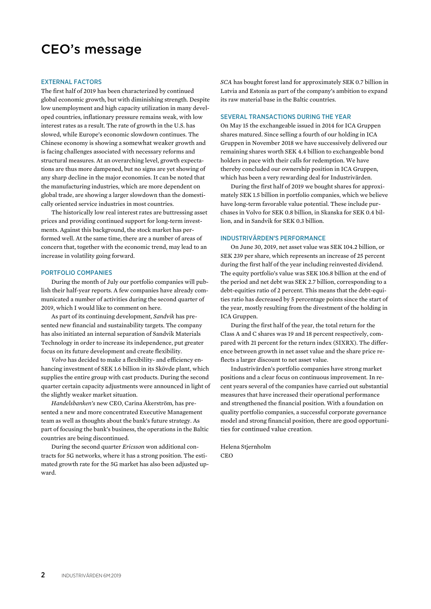# CEO's message

#### EXTERNAL FACTORS

The first half of 2019 has been characterized by continued global economic growth, but with diminishing strength. Despite low unemployment and high capacity utilization in many developed countries, inflationary pressure remains weak, with low interest rates as a result. The rate of growth in the U.S. has slowed, while Europe's economic slowdown continues. The Chinese economy is showing a somewhat weaker growth and is facing challenges associated with necessary reforms and structural measures. At an overarching level, growth expectations are thus more dampened, but no signs are yet showing of any sharp decline in the major economies. It can be noted that the manufacturing industries, which are more dependent on global trade, are showing a larger slowdown than the domestically oriented service industries in most countries.

The historically low real interest rates are buttressing asset prices and providing continued support for long-term investments. Against this background, the stock market has performed well. At the same time, there are a number of areas of concern that, together with the economic trend, may lead to an increase in volatility going forward.

#### PORTFOLIO COMPANIES

During the month of July our portfolio companies will publish their half-year reports. A few companies have already communicated a number of activities during the second quarter of 2019, which I would like to comment on here.

As part of its continuing development, *Sandvik* has presented new financial and sustainability targets. The company has also initiated an internal separation of Sandvik Materials Technology in order to increase its independence, put greater focus on its future development and create flexibility.

*Volvo* has decided to make a flexibility- and efficiency enhancing investment of SEK 1.6 billion in its Skövde plant, which supplies the entire group with cast products. During the second quarter certain capacity adjustments were announced in light of the slightly weaker market situation.

*Handelsbanken's* new CEO, Carina Åkerström, has presented a new and more concentrated Executive Management team as well as thoughts about the bank's future strategy. As part of focusing the bank's business, the operations in the Baltic countries are being discontinued.

During the second quarter *Ericsson* won additional contracts for 5G networks, where it has a strong position. The estimated growth rate for the 5G market has also been adjusted upward.

*SCA* has bought forest land for approximately SEK 0.7 billion in Latvia and Estonia as part of the company's ambition to expand its raw material base in the Baltic countries.

#### SEVERAL TRANSACTIONS DURING THE YEAR

On May 15 the exchangeable issued in 2014 for ICA Gruppen shares matured. Since selling a fourth of our holding in ICA Gruppen in November 2018 we have successively delivered our remaining shares worth SEK 4.4 billion to exchangeable bond holders in pace with their calls for redemption. We have thereby concluded our ownership position in ICA Gruppen, which has been a very rewarding deal for Industrivärden.

During the first half of 2019 we bought shares for approximately SEK 1.5 billion in portfolio companies, which we believe have long-term favorable value potential. These include purchases in Volvo for SEK 0.8 billion, in Skanska for SEK 0.4 billion, and in Sandvik for SEK 0.3 billion.

#### INDUSTRIVÄRDEN'S PERFORMANCE

On June 30, 2019, net asset value was SEK 104.2 billion, or SEK 239 per share, which represents an increase of 25 percent during the first half of the year including reinvested dividend. The equity portfolio's value was SEK 106.8 billion at the end of the period and net debt was SEK 2.7 billion, corresponding to a debt-equities ratio of 2 percent. This means that the debt-equities ratio has decreased by 5 percentage points since the start of the year, mostly resulting from the divestment of the holding in ICA Gruppen.

During the first half of the year, the total return for the Class A and C shares was 19 and 18 percent respectively, compared with 21 percent for the return index (SIXRX). The difference between growth in net asset value and the share price reflects a larger discount to net asset value.

Industrivärden's portfolio companies have strong market positions and a clear focus on continuous improvement. In recent years several of the companies have carried out substantial measures that have increased their operational performance and strengthened the financial position. With a foundation on quality portfolio companies, a successful corporate governance model and strong financial position, there are good opportunities for continued value creation.

Helena Stjernholm **CEO**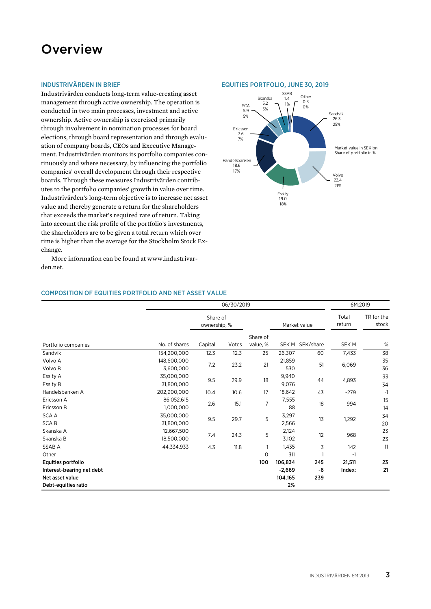## **Overview**

#### INDUSTRIVÄRDEN IN BRIEF

Industrivärden conducts long-term value-creating asset management through active ownership. The operation is conducted in two main processes, investment and active ownership. Active ownership is exercised primarily through involvement in nomination processes for board elections, through board representation and through evaluation of company boards, CEOs and Executive Management. Industrivärden monitors its portfolio companies continuously and where necessary, by influencing the portfolio companies' overall development through their respective boards. Through these measures Industrivärden contributes to the portfolio companies' growth in value over time. Industrivärden's long-term objective is to increase net asset value and thereby generate a return for the shareholders that exceeds the market's required rate of return. Taking into account the risk profile of the portfolio's investments, the shareholders are to be given a total return which over time is higher than the average for the Stockholm Stock Exchange.

More information can be found at www.industrivarden.net.

### COMPOSITION OF EQUITIES PORTFOLIO AND NET ASSET VALUE

|                                        | 06/30/2019               |                          |       |                      |                |              | 6M:2019          |                     |
|----------------------------------------|--------------------------|--------------------------|-------|----------------------|----------------|--------------|------------------|---------------------|
|                                        |                          | Share of<br>ownership, % |       |                      |                | Market value | Total<br>return  | TR for the<br>stock |
| Portfolio companies                    | No. of shares            | Capital                  | Votes | Share of<br>value, % | SEK M          | SEK/share    | SEK <sub>M</sub> | $\%$                |
| Sandvik                                | 154,200,000              | 12.3                     | 12.3  | 25                   | 26,307         | 60           | 7,433            | 38                  |
| Volvo A<br>Volvo B                     | 148,600,000<br>3,600,000 | 7.2                      | 23.2  | 21                   | 21,859<br>530  | 51           | 6,069            | 35<br>36            |
| Essity A<br>Essity B                   | 35,000,000<br>31,800,000 | 9.5                      | 29.9  | 18                   | 9,940<br>9,076 | 44           | 4,893            | 33<br>34            |
| Handelsbanken A                        | 202,900,000              | 10.4                     | 10.6  | 17                   | 18,642         | 43           | $-279$           | $-1$                |
| Ericsson A<br>Ericsson B               | 86,052,615<br>1,000,000  | 2.6                      | 15.1  | 7                    | 7,555<br>88    | 18           | 994              | 15<br>14            |
| <b>SCAA</b><br><b>SCAB</b>             | 35,000,000<br>31,800,000 | 9.5                      | 29.7  | 5                    | 3,297<br>2,566 | 13           | 1,292            | 34<br>20            |
| Skanska A<br>Skanska B                 | 12,667,500<br>18,500,000 | 7.4                      | 24.3  | 5                    | 2,124<br>3,102 | 12           | 968              | 23<br>23            |
| SSAB A                                 | 44,334,933               | 4.3                      | 11.8  | $\mathbf{1}$         | 1,435          | 3            | 142              | 11                  |
| Other                                  |                          |                          |       | $\mathbf 0$          | 311            |              | -1               |                     |
| Equities portfolio                     |                          |                          |       | 100                  | 106,834        | 245          | 21,511           | 23                  |
| Interest-bearing net debt              |                          |                          |       |                      | $-2,669$       | -6           | Index:           | 21                  |
| Net asset value<br>Debt-equities ratio |                          |                          |       |                      | 104,165<br>2%  | 239          |                  |                     |

#### EQUITIES PORTFOLIO, JUNE 30, 2019

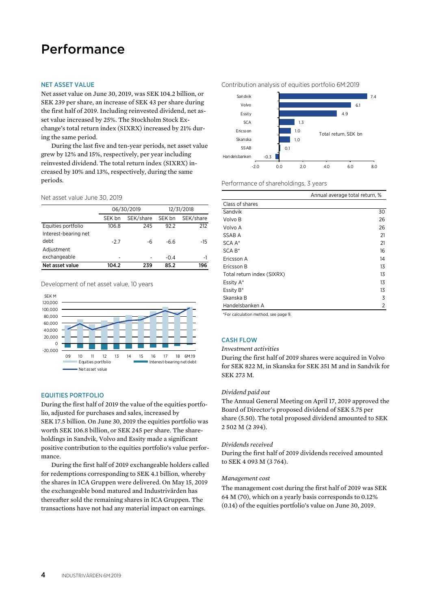# Performance

#### NET ASSET VALUE

Net asset value on June 30, 2019, was SEK 104.2 billion, or SEK 239 per share, an increase of SEK 43 per share during the first half of 2019. Including reinvested dividend, net asset value increased by 25%. The Stockholm Stock Exchange's total return index (SIXRX) increased by 21% during the same period.

During the last five and ten-year periods, net asset value grew by 12% and 15%, respectively, per year including reinvested dividend. The total return index (SIXRX) increased by 10% and 13%, respectively, during the same periods.

#### Net asset value June 30, 2019

| Net asset value              | 104.2  | 239        | 85.2   | 196        |
|------------------------------|--------|------------|--------|------------|
| Adjustment<br>exchangeable   | -      |            | $-0.4$ | $-1$       |
| Interest-bearing net<br>debt | $-2.7$ | -6         | $-6.6$ | -15        |
| Equities portfolio           | 106.8  | 245        | 92.2   | 212        |
|                              | SEK bn | SEK/share  | SEK bn | SEK/share  |
|                              |        | 06/30/2019 |        | 12/31/2018 |

Development of net asset value, 10 years



#### EQUITIES PORTFOLIO

During the first half of 2019 the value of the equities portfolio, adjusted for purchases and sales, increased by SEK 17.5 billion. On June 30, 2019 the equities portfolio was worth SEK 106.8 billion, or SEK 245 per share. The shareholdings in Sandvik, Volvo and Essity made a significant positive contribution to the equities portfolio's value performance.

During the first half of 2019 exchangeable holders called for redemptions corresponding to SEK 4.1 billion, whereby the shares in ICA Gruppen were delivered. On May 15, 2019 the exchangeable bond matured and Industrivärden has thereafter sold the remaining shares in ICA Gruppen. The transactions have not had any material impact on earnings.





Performance of shareholdings, 3 years

|                            | Annual average total return, % |
|----------------------------|--------------------------------|
| Class of shares            |                                |
| Sandvik                    | 30                             |
| Volvo B                    | 26                             |
| Volvo A                    | 26                             |
| SSAB A                     | 21                             |
| SCA A*                     | 21                             |
| $SCA B*$                   | 16                             |
| Ericsson A                 | 14                             |
| Ericsson B                 | 13                             |
| Total return index (SIXRX) | 13                             |
| Essity A*                  | 13                             |
| Essity B*                  | 13                             |
| Skanska B                  | 3                              |
| Handelsbanken A            | 2                              |

\*For calculation method, see page 9.

### CASH FLOW

#### *Investment activities*

During the first half of 2019 shares were acquired in Volvo for SEK 822 M, in Skanska for SEK 351 M and in Sandvik for SEK 273 M*.* 

#### *Dividend paid out*

The Annual General Meeting on April 17, 2019 approved the Board of Director's proposed dividend of SEK 5.75 per share (5.50). The total proposed dividend amounted to SEK 2 502 M (2 394).

#### *Dividends received*

During the first half of 2019 dividends received amounted to SEK 4 093 M (3 764).

#### *Management cost*

The management cost during the first half of 2019 was SEK 64 M (70), which on a yearly basis corresponds to 0.12% (0.14) of the equities portfolio's value on June 30, 2019.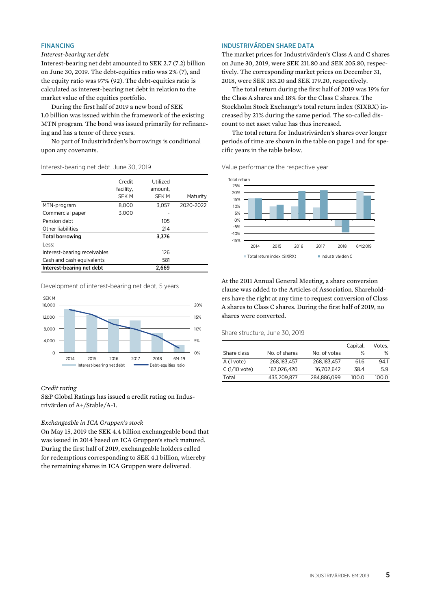#### FINANCING

#### *Interest-bearing net debt*

Interest-bearing net debt amounted to SEK 2.7 (7.2) billion on June 30, 2019. The debt-equities ratio was 2% (7), and the equity ratio was 97% (92). The debt-equities ratio is calculated as interest-bearing net debt in relation to the market value of the equities portfolio.

During the first half of 2019 a new bond of SEK 1.0 billion was issued within the framework of the existing MTN program. The bond was issued primarily for refinancing and has a tenor of three years.

No part of Industrivärden's borrowings is conditional upon any covenants.

#### Interest-bearing net debt, June 30, 2019

|                              | Credit<br>facility,<br><b>SEK M</b> | Utilized<br>amount,<br><b>SEK M</b> | Maturity  |
|------------------------------|-------------------------------------|-------------------------------------|-----------|
| MTN-program                  | 8.000                               | 3.057                               | 2020-2022 |
| Commercial paper             | 3.000                               |                                     |           |
| Pension debt                 |                                     | 105                                 |           |
| Other liabilities            |                                     | 214                                 |           |
| <b>Total borrowing</b>       |                                     | 3,376                               |           |
| Less:                        |                                     |                                     |           |
| Interest-bearing receivables |                                     | 126                                 |           |
| Cash and cash equivalents    |                                     | 581                                 |           |
| Interest-bearing net debt    |                                     | 2.669                               |           |

Development of interest-bearing net debt, 5 years



#### *Credit rating*

S&P Global Ratings has issued a credit rating on Industrivärden of A+/Stable/A-1.

#### *Exchangeable in ICA Gruppen's stock*

On May 15, 2019 the SEK 4.4 billion exchangeable bond that was issued in 2014 based on ICA Gruppen's stock matured. During the first half of 2019, exchangeable holders called for redemptions corresponding to SEK 4.1 billion, whereby the remaining shares in ICA Gruppen were delivered.

#### INDUSTRIVÄRDEN SHARE DATA

The market prices for Industrivärden's Class A and C shares on June 30, 2019, were SEK 211.80 and SEK 205.80, respectively. The corresponding market prices on December 31, 2018, were SEK 183.20 and SEK 179.20, respectively.

The total return during the first half of 2019 was 19% for the Class A shares and 18% for the Class C shares. The Stockholm Stock Exchange's total return index (SIXRX) increased by 21% during the same period. The so-called discount to net asset value has thus increased.

The total return for Industrivärden's shares over longer periods of time are shown in the table on page 1 and for specific years in the table below.

Value performance the respective year



At the 2011 Annual General Meeting, a share conversion clause was added to the Articles of Association. Shareholders have the right at any time to request conversion of Class A shares to Class C shares. During the first half of 2019, no shares were converted.

#### Share structure, June 30, 2019

|                |               |              | Capital, | Votes, |
|----------------|---------------|--------------|----------|--------|
| Share class    | No. of shares | No. of votes | %        | %      |
| A (1 vote)     | 268.183.457   | 268.183.457  | 61.6     | 94.1   |
| $C(1/10$ vote) | 167.026.420   | 16.702.642   | 38.4     | 59     |
| Total          | 435.209.877   | 284.886.099  | 100.0    | 100.0  |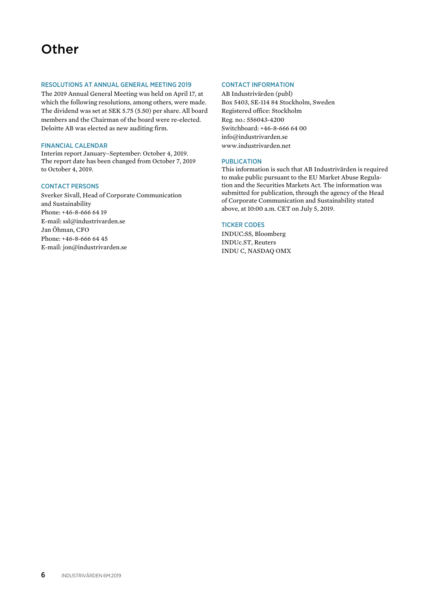# **Other**

#### RESOLUTIONS AT ANNUAL GENERAL MEETING 2019

The 2019 Annual General Meeting was held on April 17, at which the following resolutions, among others, were made. The dividend was set at SEK 5.75 (5.50) per share. All board members and the Chairman of the board were re-elected. Deloitte AB was elected as new auditing firm.

#### FINANCIAL CALENDAR

Interim report January–September: October 4, 2019. The report date has been changed from October 7, 2019 to October 4, 2019.

### CONTACT PERSONS

Sverker Sivall, Head of Corporate Communication and Sustainability Phone: +46-8-666 64 19 E-mail: ssl@industrivarden.se Jan Öhman, CFO Phone: +46-8-666 64 45 E-mail: jon@industrivarden.se

#### CONTACT INFORMATION

AB Industrivärden (publ) Box 5403, SE-114 84 Stockholm, Sweden Registered office: Stockholm Reg. no.: 556043-4200 Switchboard: +46-8-666 64 00 info@industrivarden.se www.industrivarden.net

#### PUBLICATION

This information is such that AB Industrivärden is required to make public pursuant to the EU Market Abuse Regulation and the Securities Markets Act. The information was submitted for publication, through the agency of the Head of Corporate Communication and Sustainability stated above, at 10:00 a.m. CET on July 5, 2019.

#### TICKER CODES

INDUC:SS, Bloomberg INDUc.ST, Reuters INDU C, NASDAQ OMX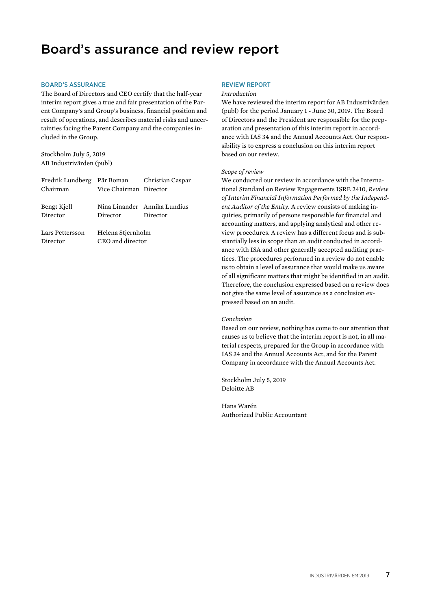# Board's assurance and review report

#### BOARD'S ASSURANCE

The Board of Directors and CEO certify that the half-year interim report gives a true and fair presentation of the Parent Company's and Group's business, financial position and result of operations, and describes material risks and uncertainties facing the Parent Company and the companies included in the Group.

Stockholm July 5, 2019 AB Industrivärden (publ)

| Fredrik Lundberg Pär Boman Christian Caspar |                        |                              |
|---------------------------------------------|------------------------|------------------------------|
| Chairman                                    | Vice Chairman Director |                              |
|                                             |                        |                              |
| Bengt Kjell                                 |                        | Nina Linander Annika Lundius |
| Director                                    | Director               | Director                     |
|                                             |                        |                              |
| Lars Pettersson                             | Helena Stiernholm      |                              |
| Director                                    | CEO and director       |                              |

### REVIEW REPORT

#### *Introduction*

We have reviewed the interim report for AB Industrivärden (publ) for the period January 1 - June 30, 2019. The Board of Directors and the President are responsible for the preparation and presentation of this interim report in accordance with IAS 34 and the Annual Accounts Act. Our responsibility is to express a conclusion on this interim report based on our review.

#### *Scope of review*

We conducted our review in accordance with the International Standard on Review Engagements ISRE 2410, *Review of Interim Financial Information Performed by the Independent Auditor of the Entity.* A review consists of making inquiries, primarily of persons responsible for financial and accounting matters, and applying analytical and other review procedures. A review has a different focus and is substantially less in scope than an audit conducted in accordance with ISA and other generally accepted auditing practices. The procedures performed in a review do not enable us to obtain a level of assurance that would make us aware of all significant matters that might be identified in an audit. Therefore, the conclusion expressed based on a review does not give the same level of assurance as a conclusion expressed based on an audit.

#### *Conclusion*

Based on our review, nothing has come to our attention that causes us to believe that the interim report is not, in all material respects, prepared for the Group in accordance with IAS 34 and the Annual Accounts Act, and for the Parent Company in accordance with the Annual Accounts Act.

Stockholm July 5, 2019 Deloitte AB

Hans Warén Authorized Public Accountant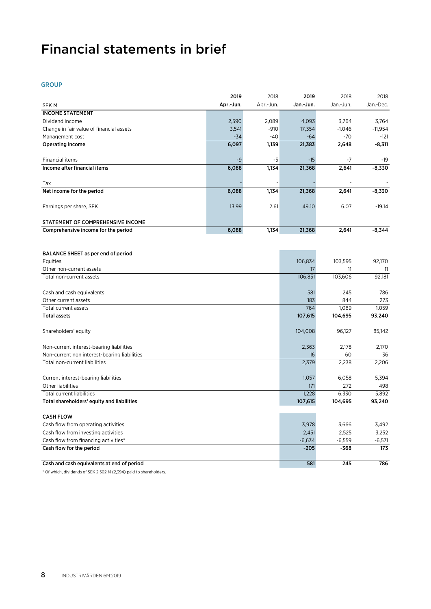# Financial statements in brief

GROUP

|                                              | 2019      | 2018      | 2019           | 2018       | 2018      |
|----------------------------------------------|-----------|-----------|----------------|------------|-----------|
| <b>SEKM</b>                                  | Apr.-Jun. | Apr.-Jun. | Jan.-Jun.      | Jan - Jun. | Jan.-Dec. |
| <b>INCOME STATEMENT</b>                      |           |           |                |            |           |
| Dividend income                              | 2,590     | 2,089     | 4,093          | 3,764      | 3,764     |
| Change in fair value of financial assets     | 3,541     | $-910$    | 17,354         | $-1,046$   | $-11,954$ |
| Management cost                              | $-34$     | $-40$     | $-64$          | $-70$      | -121      |
| Operating income                             | 6,097     | 1,139     | 21,383         | 2,648      | $-8,311$  |
|                                              |           |           |                |            |           |
| Financial items                              | $-9$      | -5        | $-15$          | $-7$       | -19       |
| Income after financial items                 | 6,088     | 1,134     | 21,368         | 2,641      | $-8,330$  |
|                                              |           |           |                |            |           |
| Tax                                          |           |           |                |            |           |
| Net income for the period                    | 6,088     | 1,134     | 21,368         | 2,641      | $-8,330$  |
|                                              |           |           |                |            |           |
| Earnings per share, SEK                      | 13.99     | 2.61      | 49.10          | 6.07       | $-19.14$  |
|                                              |           |           |                |            |           |
| STATEMENT OF COMPREHENSIVE INCOME            |           |           |                |            |           |
| Comprehensive income for the period          | 6,088     | 1,134     | 21,368         | 2,641      | $-8,344$  |
|                                              |           |           |                |            |           |
|                                              |           |           |                |            |           |
| BALANCE SHEET as per end of period           |           |           |                |            |           |
| Equities                                     |           |           | 106,834        | 103,595    | 92,170    |
| Other non-current assets                     |           |           | 17             | 11         | -11       |
| Total non-current assets                     |           |           | 106,851        | 103,606    | 92,181    |
| Cash and cash equivalents                    |           |           | 581            | 245        | 786       |
| Other current assets                         |           |           | 183            | 844        | 273       |
| Total current assets                         |           |           | 764            | 1.089      | 1,059     |
| <b>Total assets</b>                          |           |           | 107,615        | 104,695    | 93,240    |
|                                              |           |           |                |            |           |
| Shareholders' equity                         |           |           | 104,008        | 96,127     | 85,142    |
|                                              |           |           |                |            |           |
| Non-current interest-bearing liabilities     |           |           | 2,363          | 2.178      | 2.170     |
| Non-current non interest-bearing liabilities |           |           | 16             | 60         | 36        |
| Total non-current liabilities                |           |           | 2,379          | 2,238      | 2,206     |
|                                              |           |           |                |            |           |
| Current interest-bearing liabilities         |           |           | 1,057          | 6,058      | 5,394     |
| Other liabilities                            |           |           | 171            | 272        | 498       |
| <b>Total current liabilities</b>             |           |           | 1,228          | 6,330      | 5,892     |
| Total shareholders' equity and liabilities   |           |           | 107,615        | 104,695    | 93,240    |
|                                              |           |           |                |            |           |
| <b>CASH FLOW</b>                             |           |           |                |            |           |
| Cash flow from operating activities          |           |           | 3,978<br>2,451 | 3,666      | 3,492     |
| Cash flow from investing activities          |           |           |                | 2,525      | 3,252     |
| Cash flow from financing activities*         |           |           | $-6,634$       | $-6,559$   | $-6,571$  |
| Cash flow for the period                     |           |           | $-205$         | $-368$     | 173       |
| Cash and cash equivalents at end of period   |           |           | 581            | 245        | 786       |
|                                              |           |           |                |            |           |

\* Of which, dividends of SEK 2,502 M (2,394) paid to shareholders.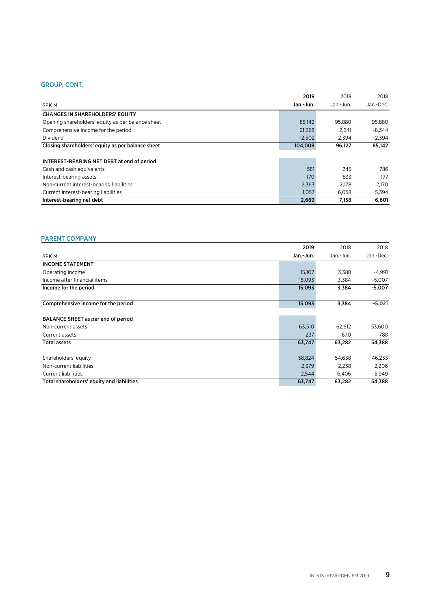### GROUP, CONT.

|                                                   | 2019      | 2018      | 2018      |
|---------------------------------------------------|-----------|-----------|-----------|
| SEK M                                             | Jan.-Jun. | Jan.-Jun. | Jan.-Dec. |
| <b>CHANGES IN SHAREHOLDERS' EQUITY</b>            |           |           |           |
| Opening shareholders' equity as per balance sheet | 85,142    | 95.880    | 95,880    |
| Comprehensive income for the period               | 21,368    | 2.641     | -8.344    |
| Dividend                                          | $-2.502$  | $-2.394$  | $-2.394$  |
| Closing shareholders' equity as per balance sheet | 104,008   | 96,127    | 85,142    |
|                                                   |           |           |           |
| INTEREST-BEARING NET DEBT at end of period        |           |           |           |
| Cash and cash equivalents                         | 581       | 245       | 786       |
| Interest-bearing assets                           | 170       | 833       | 177       |
| Non-current interest-bearing liabilities          | 2,363     | 2.178     | 2.170     |
| Current interest-bearing liabilities              | 1,057     | 6,058     | 5,394     |
| Interest-bearing net debt                         | 2.669     | 7,158     | 6.601     |

### PARENT COMPANY

|                                            | 2019      | 2018      | 2018      |
|--------------------------------------------|-----------|-----------|-----------|
| <b>SEKM</b>                                | Jan.-Jun. | Jan.-Jun. | Jan.-Dec. |
| <b>INCOME STATEMENT</b>                    |           |           |           |
| Operating income                           | 15,107    | 3,388     | $-4,991$  |
| Income after financial items               | 15,093    | 3,384     | $-5,007$  |
| Income for the period                      | 15,093    | 3,384     | $-5,007$  |
|                                            |           |           |           |
| Comprehensive income for the period        | 15,093    | 3,384     | $-5,021$  |
|                                            |           |           |           |
| BALANCE SHEET as per end of period         |           |           |           |
| Non-current assets                         | 63,510    | 62,612    | 53,600    |
| Current assets                             | 237       | 670       | 788       |
| <b>Total assets</b>                        | 63,747    | 63,282    | 54,388    |
|                                            |           |           |           |
| Shareholders' equity                       | 58,824    | 54,638    | 46,233    |
| Non-current liabilities                    | 2,379     | 2,238     | 2,206     |
| <b>Current liabilities</b>                 | 2,544     | 6,406     | 5,949     |
| Total shareholders' equity and liabilities | 63,747    | 63,282    | 54,388    |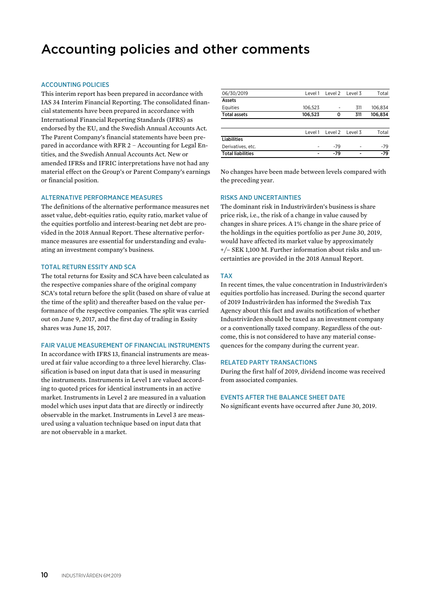# Accounting policies and other comments

#### ACCOUNTING POLICIES

This interim report has been prepared in accordance with IAS 34 Interim Financial Reporting. The consolidated financial statements have been prepared in accordance with International Financial Reporting Standards (IFRS) as endorsed by the EU, and the Swedish Annual Accounts Act. The Parent Company's financial statements have been prepared in accordance with RFR 2 – Accounting for Legal Entities, and the Swedish Annual Accounts Act. New or amended IFRSs and IFRIC interpretations have not had any material effect on the Group's or Parent Company's earnings or financial position.

#### ALTERNATIVE PERFORMANCE MEASURES

The definitions of the alternative performance measures net asset value, debt-equities ratio, equity ratio, market value of the equities portfolio and interest-bearing net debt are provided in the 2018 Annual Report. These alternative performance measures are essential for understanding and evaluating an investment company's business.

#### TOTAL RETURN ESSITY AND SCA

The total returns for Essity and SCA have been calculated as the respective companies share of the original company SCA's total return before the split (based on share of value at the time of the split) and thereafter based on the value performance of the respective companies. The split was carried out on June 9, 2017, and the first day of trading in Essity shares was June 15, 2017.

#### FAIR VALUE MEASUREMENT OF FINANCIAL INSTRUMENTS

In accordance with IFRS 13, financial instruments are measured at fair value according to a three level hierarchy. Classification is based on input data that is used in measuring the instruments. Instruments in Level 1 are valued according to quoted prices for identical instruments in an active market. Instruments in Level 2 are measured in a valuation model which uses input data that are directly or indirectly observable in the market. Instruments in Level 3 are measured using a valuation technique based on input data that are not observable in a market.

| 06/30/2019               | Level 1 | Level 2 Level 3 |                 | Total   |
|--------------------------|---------|-----------------|-----------------|---------|
| Assets                   |         |                 |                 |         |
| Equities                 | 106.523 |                 | 311             | 106.834 |
| <b>Total assets</b>      | 106,523 | 0               | 311             | 106,834 |
|                          |         |                 |                 |         |
|                          | Level 1 |                 | Level 2 Level 3 | Total   |
| <b>Liabilities</b>       |         |                 |                 |         |
| Derivatives, etc.        |         | $-79$           | ۰               | $-79$   |
| <b>Total liabilities</b> |         | -79             |                 | $-79$   |
|                          |         |                 |                 |         |

No changes have been made between levels compared with the preceding year.

#### RISKS AND UNCERTAINTIES

The dominant risk in Industrivärden's business is share price risk, i.e., the risk of a change in value caused by changes in share prices. A 1% change in the share price of the holdings in the equities portfolio as per June 30, 2019, would have affected its market value by approximately +/– SEK 1,100 M. Further information about risks and uncertainties are provided in the 2018 Annual Report.

#### TAX

In recent times, the value concentration in Industrivärden's equities portfolio has increased. During the second quarter of 2019 Industrivärden has informed the Swedish Tax Agency about this fact and awaits notification of whether Industrivärden should be taxed as an investment company or a conventionally taxed company. Regardless of the outcome, this is not considered to have any material consequences for the company during the current year.

#### RELATED PARTY TRANSACTIONS

During the first half of 2019, dividend income was received from associated companies.

#### EVENTS AFTER THE BALANCE SHEET DATE

No significant events have occurred after June 30, 2019.